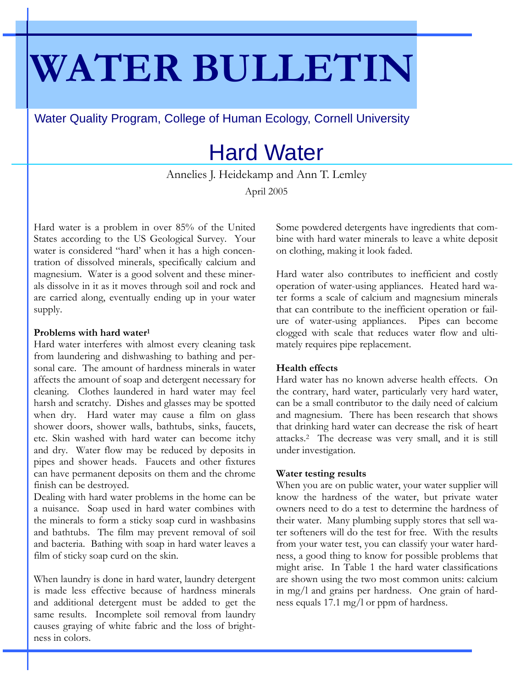# **WATER BULLETIN**

Water Quality Program, College of Human Ecology, Cornell University

# Hard Water

Annelies J. Heidekamp and Ann T. Lemley April 2005

Hard water is a problem in over 85% of the United States according to the US Geological Survey. Your water is considered "hard' when it has a high concentration of dissolved minerals, specifically calcium and magnesium. Water is a good solvent and these minerals dissolve in it as it moves through soil and rock and are carried along, eventually ending up in your water supply.

### **Problems with hard water1**

Hard water interferes with almost every cleaning task from laundering and dishwashing to bathing and personal care. The amount of hardness minerals in water affects the amount of soap and detergent necessary for cleaning. Clothes laundered in hard water may feel harsh and scratchy. Dishes and glasses may be spotted when dry. Hard water may cause a film on glass shower doors, shower walls, bathtubs, sinks, faucets, etc. Skin washed with hard water can become itchy and dry. Water flow may be reduced by deposits in pipes and shower heads. Faucets and other fixtures can have permanent deposits on them and the chrome finish can be destroyed.

Dealing with hard water problems in the home can be a nuisance. Soap used in hard water combines with the minerals to form a sticky soap curd in washbasins and bathtubs. The film may prevent removal of soil and bacteria. Bathing with soap in hard water leaves a film of sticky soap curd on the skin.

When laundry is done in hard water, laundry detergent is made less effective because of hardness minerals and additional detergent must be added to get the same results. Incomplete soil removal from laundry causes graying of white fabric and the loss of brightness in colors.

Some powdered detergents have ingredients that combine with hard water minerals to leave a white deposit on clothing, making it look faded.

Hard water also contributes to inefficient and costly operation of water-using appliances. Heated hard water forms a scale of calcium and magnesium minerals that can contribute to the inefficient operation or failure of water-using appliances. Pipes can become clogged with scale that reduces water flow and ultimately requires pipe replacement.

# **Health effects**

Hard water has no known adverse health effects. On the contrary, hard water, particularly very hard water, can be a small contributor to the daily need of calcium and magnesium. There has been research that shows that drinking hard water can decrease the risk of heart attacks.2 The decrease was very small, and it is still under investigation.

# **Water testing results**

When you are on public water, your water supplier will know the hardness of the water, but private water owners need to do a test to determine the hardness of their water. Many plumbing supply stores that sell water softeners will do the test for free. With the results from your water test, you can classify your water hardness, a good thing to know for possible problems that might arise. In Table 1 the hard water classifications are shown using the two most common units: calcium in mg/l and grains per hardness. One grain of hardness equals 17.1 mg/l or ppm of hardness.